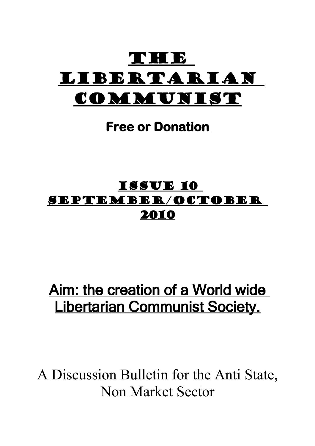

# **Free or Donation**

# Issue 10 September/October 2010

# Aim: the creation of a World wide Libertarian Communist Society.

A Discussion Bulletin for the Anti State, Non Market Sector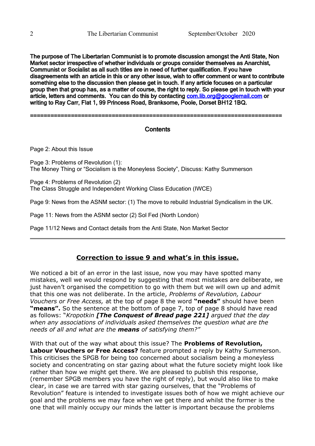The purpose of The Libertarian Communist is to promote discussion amongst the Anti State, Non Market sector irrespective of whether individuals or groups consider themselves as Anarchist, Communist or Socialist as all such titles are in need of further qualification. If you have disagreements with an article in this or any other issue, wish to offer comment or want to contribute something else to the discussion then please get in touch. If any article focuses on a particular group then that group has, as a matter of course, the right to reply. So please get in touch with your article, letters and comments. You can do this by contacting com. lib.org@googlemail.com or writing to Ray Carr, Flat 1, 99 Princess Road, Branksome, Poole, Dorset BH12 1BQ.

==========================================================================

# **Contents**

Page 2: About this Issue

Page 3: Problems of Revolution (1): The Money Thing or "Socialism is the Moneyless Society", Discuss: Kathy Summerson

Page 4: Problems of Revolution (2) The Class Struggle and Independent Working Class Education (IWCE)

Page 9: News from the ASNM sector: (1) The move to rebuild Industrial Syndicalism in the UK.

Page 11: News from the ASNM sector (2) Sol Fed (North London)

Page 11/12 News and Contact details from the Anti State, Non Market Sector

# **Correction to issue 9 and what's in this issue.**

We noticed a bit of an error in the last issue, now you may have spotted many mistakes, well we would respond by suggesting that most mistakes are deliberate, we just haven't organised the competition to go with them but we will own up and admit that this one was not deliberate. In the article, *Problems of Revolution, Labour Vouchers or Free Access,* at the top of page 8 the word **"needs"** should have been **"means".** So the sentence at the bottom of page 7, top of page 8 should have read as follows: "*Kropotkin [The Conquest of Bread page 221] argued that the day when any associations of individuals asked themselves the question what are the needs of all and what are the means of satisfying them?"*

With that out of the way what about this issue? The **Problems of Revolution, Labour Vouchers or Free Access?** feature prompted a reply by Kathy Summerson. This criticises the SPGB for being too concerned about socialism being a moneyless society and concentrating on star gazing about what the future society might look like rather than how we might get there. We are pleased to publish this response, (remember SPGB members you have the right of reply), but would also like to make clear, in case we are tarred with star gazing ourselves, that the "Problems of Revolution" feature is intended to investigate issues both of how we might achieve our goal and the problems we may face when we get there and whilst the former is the one that will mainly occupy our minds the latter is important because the problems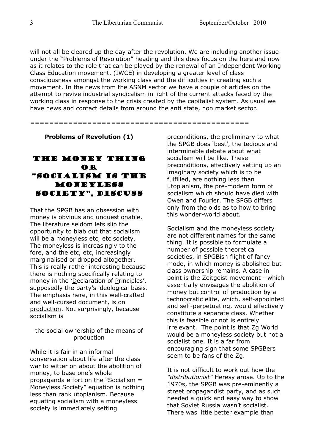will not all be cleared up the day after the revolution. We are including another issue under the "Problems of Revolution" heading and this does focus on the here and now as it relates to the role that can be played by the renewal of an Independent Working Class Education movement, (IWCE) in developing a greater level of class consciousness amongst the working class and the difficulties in creating such a movement. In the news from the ASNM sector we have a couple of articles on the attempt to revive industrial syndicalism in light of the current attacks faced by the working class in response to the crisis created by the capitalist system. As usual we have news and contact details from around the anti state, non market sector.

==============================================

**Problems of Revolution (1)**

# The Money Thing or "Socialism is the moneyless society", discuss

That the SPGB has an obsession with money is obvious and unquestionable. The literature seldom lets slip the opportunity to blab out that socialism will be a moneyless etc, etc society. The moneyless is increasingly to the fore, and the etc, etc, increasingly marginalised or dropped altogether. This is really rather interesting because there is nothing specifically relating to money in the 'Declaration of Principles', supposedly the party's ideological basis. The emphasis here, in this well-crafted and well-cursed document, is on production. Not surprisingly, because socialism is

#### the social ownership of the means of production

While it is fair in an informal conversation about life after the class war to witter on about the abolition of money, to base one's whole propaganda effort on the "Socialism = Moneyless Society" equation is nothing less than rank utopianism. Because equating socialism with a moneyless society is immediately setting

preconditions, the preliminary to what the SPGB does 'best', the tedious and interminable debate about what socialism will be like. These preconditions, effectively setting up an imaginary society which is to be fulfilled, are nothing less than utopianism, the pre-modern form of socialism which should have died with Owen and Fourier. The SPGB differs only from the olds as to how to bring this wonder-world about.

Socialism and the moneyless society are not different names for the same thing. It is possible to formulate a number of possible theoretical societies, in SPGBish flight of fancy mode, in which money is abolished but class ownership remains. A case in point is the Zeitgeist movement - which essentially envisages the abolition of money but control of production by a technocratic elite, which, self-appointed and self-perpetuating, would effectively constitute a separate class. Whether this is feasible or not is entirely irrelevant. The point is that Zg World would be a moneyless society but not a socialist one. It is a far from encouraging sign that some SPGBers seem to be fans of the Zg.

It is not difficult to work out how the *"distributionist"* Heresy arose. Up to the 1970s, the SPGB was pre-eminently a street propagandist party, and as such needed a quick and easy way to show that Soviet Russia wasn't socialist. There was little better example than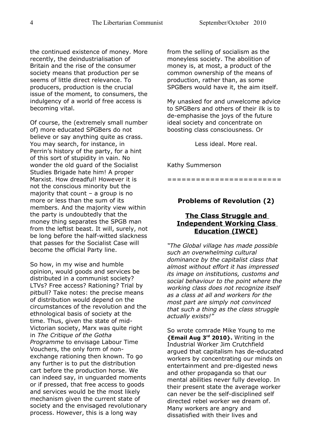the continued existence of money. More recently, the deindustrialisation of Britain and the rise of the consumer society means that production per se seems of little direct relevance. To producers, production is the crucial issue of the moment, to consumers, the indulgency of a world of free access is becoming vital.

Of course, the (extremely small number of) more educated SPGBers do not believe or say anything quite as crass. You may search, for instance, in Perrin's history of the party, for a hint of this sort of stupidity in vain. No wonder the old guard of the Socialist Studies Brigade hate him! A proper Marxist. How dreadful! However it is not the conscious minority but the majority that count  $-$  a group is no more or less than the sum of its members. And the majority view within the party is undoubtedly that the money thing separates the SPGB man from the leftist beast. It will, surely, not be long before the half-witted slackness that passes for the Socialist Case will become the official Party line.

So how, in my wise and humble opinion, would goods and services be distributed in a communist society? LTVs? Free access? Rationing? Trial by pitbull? Take notes: the precise means of distribution would depend on the circumstances of the revolution and the ethnological basis of society at the time. Thus, given the state of mid-Victorian society, Marx was quite right in *The Critique of the Gotha Programme* to envisage Labour Time Vouchers, the only form of nonexchange rationing then known. To go any further is to put the distribution cart before the production horse. We can indeed say, in unguarded moments or if pressed, that free access to goods and services would be the most likely mechanism given the current state of society and the envisaged revolutionary process. However, this is a long way

from the selling of socialism as the moneyless society. The abolition of money is, at most, a product of the common ownership of the means of production, rather than, as some SPGBers would have it, the aim itself.

My unasked for and unwelcome advice to SPGBers and others of their ilk is to de-emphasise the joys of the future ideal society and concentrate on boosting class consciousness. Or

Less ideal. More real.

Kathy Summerson

# **Problems of Revolution (2)**

========================

# **The Class Struggle and Independent Working Class Education (IWCE)**

*"The Global village has made possible such an overwhelming cultural dominance by the capitalist class that almost without effort it has impressed its image on institutions, customs and social behaviour to the point where the working class does not recognize itself as a class at all and workers for the most part are simply not convinced that such a thing as the class struggle actually exists!"*

So wrote comrade Mike Young to me **{Email Aug 3rd 2010}.** Writing in the Industrial Worker Jim Crutchfield argued that capitalism has de-educated workers by concentrating our minds on entertainment and pre-digested news and other propaganda so that our mental abilities never fully develop. In their present state the average worker can never be the self-disciplined self directed rebel worker we dream of. Many workers are angry and dissatisfied with their lives and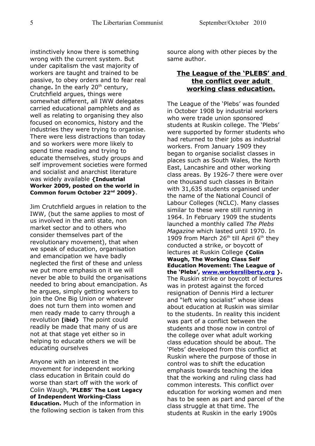instinctively know there is something wrong with the current system. But under capitalism the vast majority of workers are taught and trained to be passive, to obey orders and to fear real change. In the early 20<sup>th</sup> century, Crutchfield argues, things were somewhat different, all IWW delegates carried educational pamphlets and as well as relating to organising they also focused on economics, history and the industries they were trying to organise. There were less distractions than today and so workers were more likely to spend time reading and trying to educate themselves, study groups and self improvement societies were formed and socialist and anarchist literature was widely available **{Industrial Worker 2009, posted on the world in Common forum October 22nd 2009}**.

Jim Crutchfield argues in relation to the IWW, (but the same applies to most of us involved in the anti state, non market sector and to others who consider themselves part of the revolutionary movement), that when we speak of education, organisation and emancipation we have badly neglected the first of these and unless we put more emphasis on it we will never be able to build the organisations needed to bring about emancipation. As he argues, simply getting workers to join the One Big Union or whatever does not turn them into women and men ready made to carry through a revolution **[ibid}** The point could readily be made that many of us are not at that stage yet either so in helping to educate others we will be educating ourselves

Anyone with an interest in the movement for independent working class education in Britain could do worse than start off with the work of Colin Waugh, **'PLEBS' The Lost Legacy of Independent Working-Class Education.** Much of the information in the following section is taken from this source along with other pieces by the same author.

# **The League of the 'PLEBS' and the conflict over adult working class education.**

The League of the 'Plebs' was founded in October 1908 by industrial workers who were trade union sponsored students at Ruskin college. The 'Plebs' were supported by former students who had returned to their jobs as industrial workers. From January 1909 they began to organise socialist classes in places such as South Wales, the North East, Lancashire and other working class areas. By 1926-7 there were over one thousand such classes in Britain with 31,635 students organised under the name of the National Council of Labour Colleges (NCLC). Many classes similar to these were still running in 1964. In February 1909 the students launched a monthly called *The Plebs Magazine* which lasted until 1970. In 1909 from March 26<sup>th</sup> till April 6<sup>th</sup> they conducted a strike, or boycott of lectures at Ruskin College **{Colin Waugh, The Working Class Self Education Movement: The League of the 'Plebs', [www.workersliberty.org](http://www.workersliberty.org/) }.** The Ruskin strike or boycott of lectures was in protest against the forced resignation of Dennis Hird a lecturer and "left wing socialist" whose ideas about education at Ruskin was similar to the students. In reality this incident was part of a conflict between the students and those now in control of the college over what adult working class education should be about. The 'Plebs' developed from this conflict at Ruskin where the purpose of those in control was to shift the education emphasis towards teaching the idea that the working and ruling class had common interests. This conflict over education for working women and men has to be seen as part and parcel of the class struggle at that time. The students at Ruskin in the early 1900s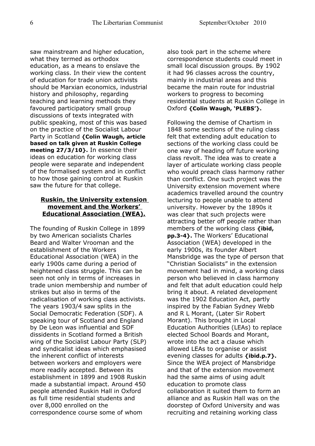saw mainstream and higher education, what they termed as orthodox education, as a means to enslave the working class. In their view the content of education for trade union activists should be Marxian economics, industrial history and philosophy, regarding teaching and learning methods they favoured participatory small group discussions of texts integrated with public speaking, most of this was based on the practice of the Socialist Labour Party in Scotland **{Colin Waugh, article based on talk given at Ruskin College meeting 27/3/10}.** In essence their ideas on education for working class people were separate and independent of the formalised system and in conflict to how those gaining control at Ruskin saw the future for that college.

# **Ruskin, the University extension movement and the Workers' Educational Association (WEA).**

The founding of Ruskin College in 1899 by two American socialists Charles Beard and Walter Vrooman and the establishment of the Workers Educational Association (WEA) in the early 1900s came during a period of heightened class struggle. This can be seen not only in terms of increases in trade union membership and number of strikes but also in terms of the radicalisation of working class activists. The years 1903/4 saw splits in the Social Democratic Federation (SDF). A speaking tour of Scotland and England by De Leon was influential and SDF dissidents in Scotland formed a British wing of the Socialist Labour Party (SLP) and syndicalist ideas which emphasised the inherent conflict of interests between workers and employers were more readily accepted. Between its establishment in 1899 and 1908 Ruskin made a substantial impact. Around 450 people attended Ruskin Hall in Oxford as full time residential students and over 8,000 enrolled on the correspondence course some of whom

also took part in the scheme where correspondence students could meet in small local discussion groups. By 1902 it had 96 classes across the country, mainly in industrial areas and this became the main route for industrial workers to progress to becoming residential students at Ruskin College in Oxford **{Colin Waugh, 'PLEBS'}.** 

Following the demise of Chartism in 1848 some sections of the ruling class felt that extending adult education to sections of the working class could be one way of heading off future working class revolt. The idea was to create a layer of articulate working class people who would preach class harmony rather than conflict. One such project was the University extension movement where academics travelled around the country lecturing to people unable to attend university. However by the 1890s it was clear that such projects were attracting better off people rather than members of the working class **{ibid, pp.3-4}.** The Workers' Educational Association (WEA) developed in the early 1900s, its founder Albert Mansbridge was the type of person that "Christian Socialists" in the extension movement had in mind, a working class person who believed in class harmony and felt that adult education could help bring it about. A related development was the 1902 Education Act, partly inspired by the Fabian Sydney Webb and R L Morant, (Later Sir Robert Morant). This brought in Local Education Authorities (LEAs) to replace elected School Boards and Morant, wrote into the act a clause which allowed LEAs to organise or assist evening classes for adults **{ibid.p.7}.**  Since the WEA project of Mansbridge and that of the extension movement had the same aims of using adult education to promote class collaboration it suited them to form an alliance and as Ruskin Hall was on the doorstep of Oxford University and was recruiting and retaining working class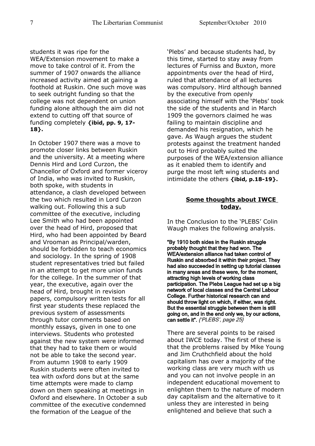students it was ripe for the WEA/Extension movement to make a move to take control of it. From the summer of 1907 onwards the alliance

increased activity aimed at gaining a foothold at Ruskin. One such move was to seek outright funding so that the college was not dependent on union funding alone although the aim did not extend to cutting off that source of funding completely **{ibid, pp. 9, 17- 18}.** 

In October 1907 there was a move to promote closer links between Ruskin and the university. At a meeting where Dennis Hird and Lord Curzon, the Chancellor of Oxford and former viceroy of India, who was invited to Ruskin, both spoke, with students in attendance, a clash developed between the two which resulted in Lord Curzon walking out. Following this a sub committee of the executive, including Lee Smith who had been appointed over the head of Hird, proposed that Hird, who had been appointed by Beard and Vrooman as Principal/warden, should be forbidden to teach economics and sociology. In the spring of 1908 student representatives tried but failed in an attempt to get more union funds for the college. In the summer of that year, the executive, again over the head of Hird, brought in revision papers, compulsory written tests for all first year students these replaced the previous system of assessments through tutor comments based on monthly essays, given in one to one interviews. Students who protested against the new system were informed that they had to take them or would not be able to take the second year. From autumn 1908 to early 1909 Ruskin students were often invited to tea with oxford dons but at the same time attempts were made to clamp down on them speaking at meetings in Oxford and elsewhere. In October a sub committee of the executive condemned the formation of the League of the

'Plebs' and because students had, by this time, started to stay away from lectures of Furniss and Buxton, more appointments over the head of Hird, ruled that attendance of all lectures was compulsory. Hird although banned by the executive from openly associating himself with the 'Plebs' took the side of the students and in March 1909 the governors claimed he was failing to maintain discipline and demanded his resignation, which he gave. As Waugh argues the student protests against the treatment handed out to Hird probably suited the purposes of the WEA/extension alliance as it enabled them to identify and purge the most left wing students and intimidate the others **{ibid, p.18-19}.**

# **Some thoughts about IWCE today.**

In the Conclusion to the 'PLEBS' Colin Waugh makes the following analysis.

"By 1910 both sides in the Ruskin struggle probably thought that they had won. The WEA/extension alliance had taken control of Ruskin and absorbed it within their project. They had also succeeded in setting up tutorial classes in many areas and these were, for the moment, attracting high levels of working class participation. The Plebs League had set up a big network of local classes and the Central Labour College. Further historical research can and should throw light on which, if either, was right. But the essential struggle between them is still going on, and in the end only we, by our actions, can settle it". {'PLEBS', page 25}

There are several points to be raised about IWCE today. The first of these is that the problems raised by Mike Young and Jim Cruthchfield about the hold capitalism has over a majority of the working class are very much with us and you can not involve people in an independent educational movement to enlighten them to the nature of modern day capitalism and the alternative to it unless they are interested in being enlightened and believe that such a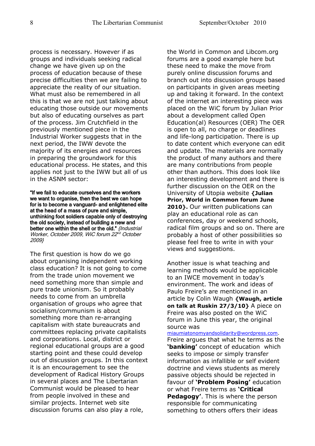process is necessary. However if as groups and individuals seeking radical change we have given up on the process of education because of these precise difficulties then we are failing to appreciate the reality of our situation. What must also be remembered in all this is that we are not just talking about educating those outside our movements but also of educating ourselves as part of the process. Jim Crutchfield in the previously mentioned piece in the Industrial Worker suggests that in the next period, the IWW devote the majority of its energies and resources in preparing the groundwork for this educational process. He states, and this applies not just to the IWW but all of us in the ASNM sector:

"If we fail to educate ourselves and the workers we want to organise, then the best we can hope for is to become a vanguard- and enlightened elite at the head of a mass of pure and simple, unthinking foot soldiers capable only of destroying the old society, instead of building a new and better one within the shell or the old." {Industrial Worker, October 2009, WiC forum 22<sup>nd</sup> October 2009}

The first question is how do we go about organising independent working class education? It is not going to come from the trade union movement we need something more than simple and pure trade unionism. So it probably needs to come from an umbrella organisation of groups who agree that socialism/communism is about something more than re-arranging capitalism with state bureaucrats and committees replacing private capitalists and corporations. Local, district or regional educational groups are a good starting point and these could develop out of discussion groups. In this context it is an encouragement to see the development of Radical History Groups in several places and The Libertarian Communist would be pleased to hear from people involved in these and similar projects. Internet web site discussion forums can also play a role,

the World in Common and Libcom.org forums are a good example here but these need to make the move from purely online discussion forums and branch out into discussion groups based on participants in given areas meeting up and taking it forward. In the context of the internet an interesting piece was placed on the WiC forum by Julian Prior about a development called Open Education(al) Resources (OER) The OER is open to all, no charge or deadlines and life-long participation. There is up to date content which everyone can edit and update. The materials are normally the product of many authors and there are many contributions from people other than authors. This does look like an interesting development and there is further discussion on the OER on the University of Utopia website **{Julian Prior, World in Common forum June** 2010}. Our written publications can play an educational role as can conferences, day or weekend schools, radical film groups and so on. There are probably a host of other possibilities so please feel free to write in with your views and suggestions.

Another issue is what teaching and learning methods would be applicable to an IWCE movement in today's environment. The work and ideas of Paulo Freire's are mentioned in an article by Colin Waugh **{Waugh, article on talk at Ruskin 27/3/10}** A piece on Freire was also posted on the WiC forum in June this year, the original source was

[miaumiatonomyandsolidarity@wordpress.com.](mailto:miamiautonomyandsolidarity@wordpress.com) Freire argues that what he terms as the **'banking'** concept of education which seeks to impose or simply transfer information as infallible or self evident doctrine and views students as merely passive objects should be rejected in favour of **'Problem Posing'** education or what Freire terms as **'Critical Pedagogy'**. This is where the person responsible for communicating something to others offers their ideas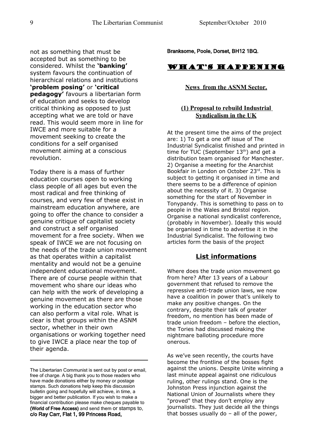not as something that must be accepted but as something to be considered. Whilst the **'banking'** system favours the continuation of hierarchical relations and institutions **'problem posing'** or **'critical pedagogy'** favours a libertarian form of education and seeks to develop critical thinking as opposed to just accepting what we are told or have read. This would seem more in line for IWCE and more suitable for a movement seeking to create the conditions for a self organised movement aiming at a conscious revolution.

Today there is a mass of further education courses open to working class people of all ages but even the most radical and free thinking of courses, and very few of these exist in mainstream education anywhere, are going to offer the chance to consider a genuine critique of capitalist society and construct a self organised movement for a free society. When we speak of IWCE we are not focusing on the needs of the trade union movement as that operates within a capitalist mentality and would not be a genuine independent educational movement. There are of course people within that movement who share our ideas who can help with the work of developing a genuine movement as there are those working in the education sector who can also perform a vital role. What is clear is that groups within the ASNM sector, whether in their own organisations or working together need to give IWCE a place near the top of their agenda.

Branksome, Poole, Dorset, BH12 1BQ.

# What's Happening

#### **News from the ASNM Sector.**

#### **(1) Proposal to rebuild Industrial Syndicalism in the UK**

At the present time the aims of the project are: 1) To get a one off issue of The Industrial Syndicalist finished and printed in time for TUC (September  $13<sup>th</sup>$ ) and get a distribution team organised for Manchester. 2) Organise a meeting for the Anarchist Bookfair in London on October 23rd. This is subject to getting it organised in time and there seems to be a difference of opinion about the necessity of it. 3) Organise something for the start of November in Tonypandy. This is something to pass on to people in the Wales and Bristol region. Organise a national syndicalist conference, (probably in November). Ideally this would be organised in time to advertise it in the Industrial Syndicalist. The following two articles form the basis of the project

# **List informations**

Where does the trade union movement go from here? After 13 years of a Labour government that refused to remove the repressive anti-trade union laws, we now have a coalition in power that's unlikely to make any positive changes. On the contrary, despite their talk of greater freedom, no mention has been made of trade union freedom – before the election, the Tories had discussed making the nightmare balloting procedure more onerous.

As we've seen recently, the courts have become the frontline of the bosses fight against the unions. Despite Unite winning a last minute appeal against one ridiculous ruling, other rulings stand. One is the Johnston Press injunction against the National Union of Journalists where they "proved" that they don't employ any journalists. They just decide all the things that bosses usually do – all of the power,

The Libertarian Communist is sent out by post or email, free of charge. A big thank you to those readers who have made donations either by money or postage stamps. Such donations help keep this discussion bulletin going and hopefully will achieve, in time, a bigger and better publication. If you wish to make a financial contribution please make cheques payable to (World of Free Access) and send them or stamps to, c/o Ray Carr, Flat 1, 99 Princess Road,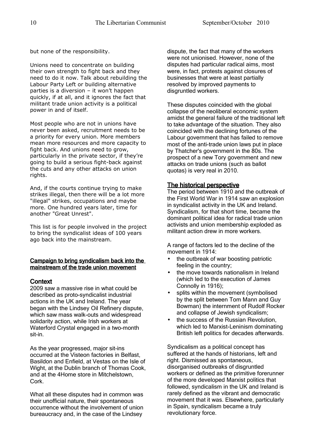but none of the responsibility.

Unions need to concentrate on building their own strength to fight back and they need to do it now. Talk about rebuilding the Labour Party Left or building alternative parties is a diversion – it won't happen quickly, if at all, and it ignores the fact that militant trade union activity is a political power in and of itself.

Most people who are not in unions have never been asked, recruitment needs to be a priority for every union. More members mean more resources and more capacity to fight back. And unions need to grow, particularly in the private sector, if they're going to build a serious fight-back against the cuts and any other attacks on union rights.

And, if the courts continue trying to make strikes illegal, then there will be a lot more "illegal" strikes, occupations and maybe more. One hundred years later, time for another "Great Unrest".

This list is for people involved in the project to bring the syndicalist ideas of 100 years ago back into the mainstream.

#### Campaign to bring syndicalism back into the mainstream of the trade union movement

# **Context**

2009 saw a massive rise in what could be described as proto-syndicalist industrial actions in the UK and Ireland. The year began with the Lindsey Oil Refinery dispute, which saw mass walk-outs and widespread solidarity action, while Irish workers at Waterford Crystal engaged in a two-month sit-in.

As the year progressed, major sit-ins occurred at the Visteon factories in Belfast, Basildon and Enfield, at Vestas on the Isle of Wight, at the Dublin branch of Thomas Cook, and at the 4Home store in Mitchelstown, Cork.

What all these disputes had in common was their unofficial nature, their spontaneous occurrence without the involvement of union bureaucracy and, in the case of the Lindsey

dispute, the fact that many of the workers were not unionised. However, none of the disputes had particular radical aims, most were, in fact, protests against closures of businesses that were at least partially resolved by improved payments to disgruntled workers.

These disputes coincided with the global collapse of the neoliberal economic system amidst the general failure of the traditional left to take advantage of the situation. They also coincided with the declining fortunes of the Labour government that has failed to remove most of the anti-trade union laws put in place by Thatcher's government in the 80s. The prospect of a new Tory government and new attacks on trade unions (such as ballot quotas) is very real in 2010.

# The historical perspective

The period between 1910 and the outbreak of the First World War in 1914 saw an explosion in syndicalist activity in the UK and Ireland. Syndicalism, for that short time, became the dominant political idea for radical trade union activists and union membership exploded as militant action drew in more workers.

A range of factors led to the decline of the movement in 1914:

- the outbreak of war boosting patriotic feeling in the country;
- the move towards nationalism in Ireland (which led to the execution of James Connolly in 1916);
- splits within the movement (symbolised by the split between Tom Mann and Guy Bowman) the internment of Rudolf Rocker and collapse of Jewish syndicalism;
- the success of the Russian Revolution, which led to Marxist-Leninism dominating British left politics for decades afterwards.

Syndicalism as a political concept has suffered at the hands of historians, left and right. Dismissed as spontaneous, disorganised outbreaks of disgruntled workers or defined as the primitive forerunner of the more developed Marxist politics that followed, syndicalism in the UK and Ireland is rarely defined as the vibrant and democratic movement that it was. Elsewhere, particularly in Spain, syndicalism became a truly revolutionary force.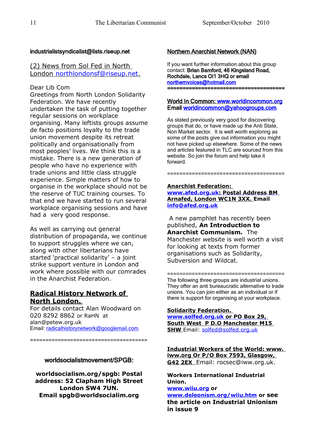#### industrialistsyndicalist@lists.riseup.net

# (2) News from Sol Fed in North London northlondonsf@riseup.net

#### Dear Lib Com

Greetings from North London Solidarity Federation. We have recently undertaken the task of putting together regular sessions on workplace organising. Many leftists groups assume de facto positions loyalty to the trade union movement despite its retreat politically and organisationally from most peoples' lives. We think this is a mistake. There is a new generation of people who have no experience with trade unions and little class struggle experience. Simple matters of how to organise in the workplace should not be the reserve of TUC training courses. To that end we have started to run several workplace organising sessions and have had a very good response.

As well as carrying out general distribution of propaganda, we continue to support struggles where we can, along with other libertarians have started 'practical solidarity' – a joint strike support venture in London and work where possible with our comrades in the Anarchist Federation.

# **Radical History Network of North London.**

For details contact Alan Woodward on 020 8292 8862 or RaHN at alan@petew.org.uk Email: [radicalhistorynetwork@googlemail.com](mailto:radicalhistorynetwork@googlemail.com)

#### worldsocialistmovement/SPGB:

======================================

**worldsocialism.org/spgb: Postal address: 52 Clapham High Street London SW4 7UN. Email spgb@worldsocialim.org**

# Northern Anarchist Network (NAN)

If you want further information about this group contact: Brian Bamford, 46 Kingsland Road, Rochdale, Lancs Ol1 3HQ or email [northernvoices@hotmail.com](mailto:northernvoices@hotmail.com)  ======================================

#### World In Common: [www.worldincommon.org](http://www.worldincommon.org/) Email [worldincommon@yahoogroups.com](mailto:worldincommon@yahoogroups.com)

As stated previously very good for discovering groups that do, or have made up the Anti State, Non Market sector. It is well worth exploring as some of the posts give out information you might not have picked up elsewhere. Some of the news and articles featured in TLC are sourced from this website. So join the forum and help take it forward.

======================================

#### **Anarchist Federation:**

 **[www.afed.org.uk :](http://www.afed.org.uk/) Postal Address BM Arnafed, London WC1N 3XX. Email [info@afed.org.uk](mailto:info@afed.org.uk)**

 A new pamphlet has recently been published, **An Introduction to Anarchist Communism.** The Manchester website is well worth a visit for looking at texts from former organisations such as Solidarity, Subversion and Wildcat.

====================================== The following three groups are industrial unions. They offer an anti bureaucratic alternative to trade unions. You can join either as an individual or if there is support for organising at your workplace.

#### **Solidarity Federation.**

 **[www.solfed.org.uk](http://www.solfed.org.uk/) or PO Box 29, South West P D.O Manchester M15 5HW** Email: [solfed@solfed.org.uk](mailto:solfed@solfed.org.uk)

**Industrial Workers of the World: www. iww.org Or P/O Box 7593, Glasgow, G42 2EX** Email: rocsec@iww.org.uk.

**Workers International Industrial Union. [www.wiiu.org](http://www.wiiu.org/) or**

**[www.deleonism.org/wiiu.htm](http://www.deleonism.org/wiiu.htm) or see the article on Industrial Unionism in issue 9**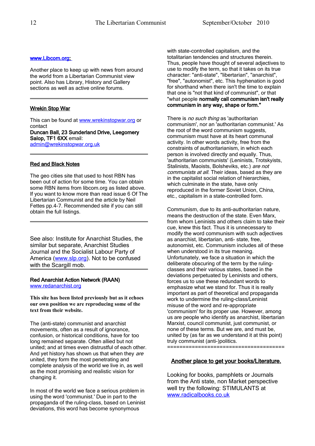#### www.Libcom.org

Another place to keep up with news from around the world from a Libertarian Communist view point. Also has Library, History and Gallery sections as well as active online forums.

#### Wrekin Stop War

This can be found at [www.wrekinstopwar.org](http://www.wrekinstopwar.org/) or contact

Duncan Ball, 23 Sunderland Drive, Leegomery Salop, TF1 6XX email:

[admin@wrekinstopwar.org.uk](mailto:admin@wrekinstopwar.org.uk)

#### Red and Black Notes

The geo cities site that used to host RBN has been out of action for some time. You can obtain some RBN items from libcom.org as listed above. If you want to know more than read issue 6 Of The Libertarian Communist and the article by Neil Fettes pp.4-7. Recommended site if you can still obtain the full listings.

See also: Institute for Anarchist Studies, the similar but separate, Anarchist Studies Journal and the Socialist Labour Party of America [\(www.slp.org\)](http://www.slp.org/). Not to be confused with the Scargill mob.

#### Red Anarchist Action Network (RAAN) [www.redanarchist.org](http://www.redanarchist.org/)

**This site has been listed previously but as it echoes our own position we are reproducing some of the text from their website.**

The (anti-state) communist and anarchist movements, often as a result of ignorance. confusion, or historical conditions, have for too long remained separate. Often allied but not united; and at times even distrustful of each other. And yet history has shown us that when they are united, they form the most penetrating and complete analysis of the world we live in, as well as the most promising and realistic vision for changing it.

In most of the world we face a serious problem in using the word 'communist.' Due in part to the propaganda of the ruling-class, based on Leninist deviations, this word has become synonymous

with state-controlled capitalism, and the totalitarian tendencies and structures therein. Thus, people have thought of several adjectives to use to modify the term, so that it takes on its true character: "anti-state", "libertarian", "anarchist", "free", "autonomist", etc. This hyphenation is good for shorthand when there isn't the time to explain that one is "not that kind of communist", or that "what people normally call communism isn't really communism in any way, shape or form."

There is no such thing as 'authoritarian communism', nor an 'authoritarian communist.' As the root of the word communism suggests, communism must have at its heart communal activity. In other words activity, free from the constraints of authoritarianism, in which each person is involved directly and equally. Thus, 'authoritarian communists' (Leninists, Trotskyists, Stalinists, Maoists, Bolsheviks, etc.) are not communists at all. Their ideas, based as they are in the capitalist social relation of hierarchies, which culminate in the state, have only reproduced in the former Soviet Union, China, etc., capitalism in a state-controlled form.

Communism, due to its anti-authoritarian nature, means the destruction of the state. Even Marx, from whom Leninists and others claim to take their cue, knew this fact. Thus it is unnecessary to modify the word communism with such adjectives as anarchist, libertarian, anti- state, free, autonomist, etc. Communism includes all of these when understood in its true meaning. Unfortunately, we face a situation in which the deliberate obscuring of the term by the rulingclasses and their various states, based in the deviations perpetuated by Leninists and others, forces us to use these redundant words to emphasize what we stand for. Thus it is really important as part of theoretical and propaganda work to undermine the ruling-class/Leninist misuse of the word and re-appropriate 'communism' for its proper use. However, among us are people who identify as anarchist, libertarian Marxist, council communist, just communist, or none of these terms. But we are, and must be, united by (as far as we understand it at this point) truly communist (anti-)politics. ======================================

#### Another place to get your books/Literature.

Looking for books, pamphlets or Journals from the Anti state, non Market perspective well try the following: STIMULANTS at [www.radicalbooks.co.uk](http://www.radicalbooks.co.uk/)